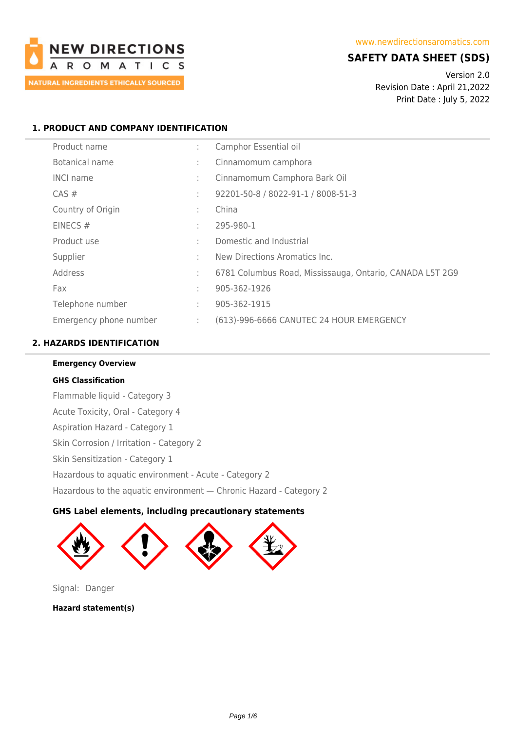

# **SAFETY DATA SHEET (SDS)**

Version 2.0 Revision Date : April 21,2022 Print Date : July 5, 2022

## **1. PRODUCT AND COMPANY IDENTIFICATION**

| Product name           | ÷ | Camphor Essential oil                                    |
|------------------------|---|----------------------------------------------------------|
| Botanical name         | ÷ | Cinnamomum camphora                                      |
| <b>INCI name</b>       |   | Cinnamomum Camphora Bark Oil                             |
| $CAS \#$               | ÷ | 92201-50-8 / 8022-91-1 / 8008-51-3                       |
| Country of Origin      | ÷ | China                                                    |
| EINECS $#$             | ٠ | 295-980-1                                                |
| Product use            | ٠ | Domestic and Industrial                                  |
| Supplier               | ٠ | New Directions Aromatics Inc.                            |
| Address                | ÷ | 6781 Columbus Road, Mississauga, Ontario, CANADA L5T 2G9 |
| Fax                    | ÷ | 905-362-1926                                             |
| Telephone number       | ÷ | 905-362-1915                                             |
| Emergency phone number | ÷ | (613)-996-6666 CANUTEC 24 HOUR EMERGENCY                 |

# **2. HAZARDS IDENTIFICATION**

**Emergency Overview**

**GHS Classification** Flammable liquid - Category 3 Acute Toxicity, Oral - Category 4 Aspiration Hazard - Category 1 Skin Corrosion / Irritation - Category 2 Skin Sensitization - Category 1 Hazardous to aquatic environment - Acute - Category 2 Hazardous to the aquatic environment — Chronic Hazard - Category 2

# **GHS Label elements, including precautionary statements**



Signal: Danger

**Hazard statement(s)**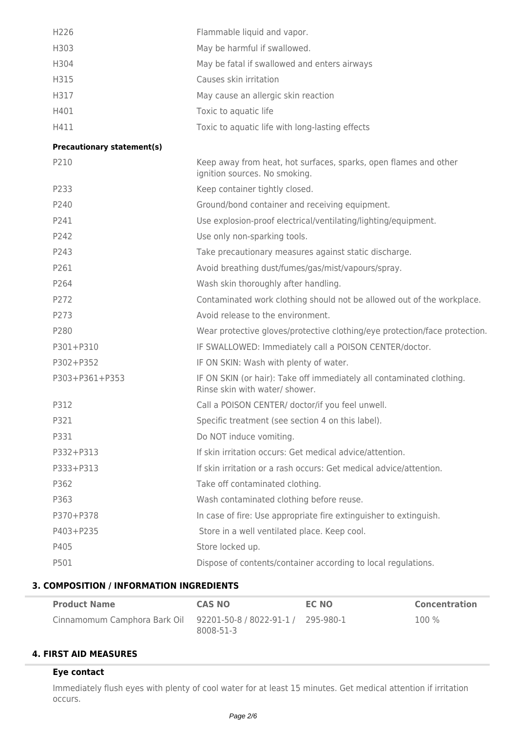| H <sub>226</sub> | Flammable liquid and vapor.                     |
|------------------|-------------------------------------------------|
| H303             | May be harmful if swallowed.                    |
| H304             | May be fatal if swallowed and enters airways    |
| H315             | Causes skin irritation                          |
| H317             | May cause an allergic skin reaction             |
| H401             | Toxic to aquatic life                           |
| H411             | Toxic to aquatic life with long-lasting effects |

#### **Precautionary statement(s)**

| P210           | Keep away from heat, hot surfaces, sparks, open flames and other<br>ignition sources. No smoking.       |
|----------------|---------------------------------------------------------------------------------------------------------|
| P233           | Keep container tightly closed.                                                                          |
| P240           | Ground/bond container and receiving equipment.                                                          |
| P241           | Use explosion-proof electrical/ventilating/lighting/equipment.                                          |
| P242           | Use only non-sparking tools.                                                                            |
| P243           | Take precautionary measures against static discharge.                                                   |
| P261           | Avoid breathing dust/fumes/gas/mist/vapours/spray.                                                      |
| P264           | Wash skin thoroughly after handling.                                                                    |
| P272           | Contaminated work clothing should not be allowed out of the workplace.                                  |
| P273           | Avoid release to the environment.                                                                       |
| P280           | Wear protective gloves/protective clothing/eye protection/face protection.                              |
| P301+P310      | IF SWALLOWED: Immediately call a POISON CENTER/doctor.                                                  |
| P302+P352      | IF ON SKIN: Wash with plenty of water.                                                                  |
| P303+P361+P353 | IF ON SKIN (or hair): Take off immediately all contaminated clothing.<br>Rinse skin with water/ shower. |
| P312           | Call a POISON CENTER/ doctor/if you feel unwell.                                                        |
| P321           | Specific treatment (see section 4 on this label).                                                       |
| P331           | Do NOT induce vomiting.                                                                                 |
| P332+P313      | If skin irritation occurs: Get medical advice/attention.                                                |
| P333+P313      | If skin irritation or a rash occurs: Get medical advice/attention.                                      |
| P362           | Take off contaminated clothing.                                                                         |
| P363           | Wash contaminated clothing before reuse.                                                                |
| P370+P378      | In case of fire: Use appropriate fire extinguisher to extinguish.                                       |
| P403+P235      | Store in a well ventilated place. Keep cool.                                                            |
| P405           | Store locked up.                                                                                        |
| P501           | Dispose of contents/container according to local regulations.                                           |
|                |                                                                                                         |

# **3. COMPOSITION / INFORMATION INGREDIENTS**

| <b>Product Name</b>                                             | <b>CAS NO</b> | EC NO | <b>Concentration</b> |
|-----------------------------------------------------------------|---------------|-------|----------------------|
| Cinnamomum Camphora Bark Oil 92201-50-8 / 8022-91-1 / 295-980-1 | 8008-51-3     |       | $100\%$              |

# **4. FIRST AID MEASURES**

### **Eye contact**

Immediately flush eyes with plenty of cool water for at least 15 minutes. Get medical attention if irritation occurs.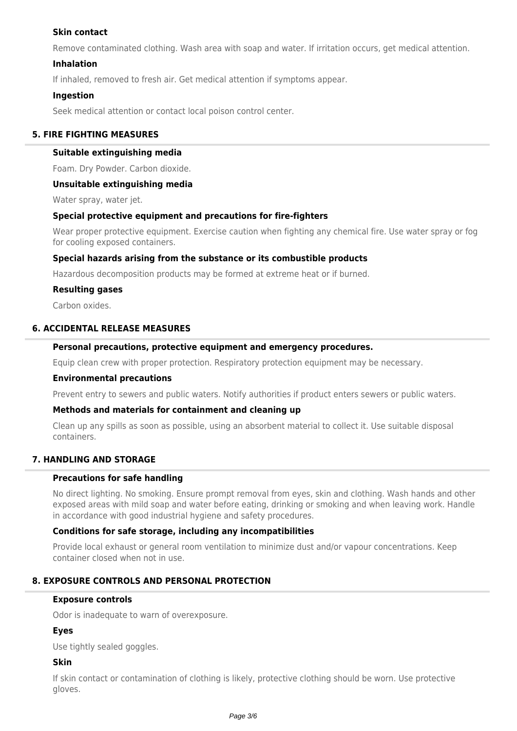### **Skin contact**

Remove contaminated clothing. Wash area with soap and water. If irritation occurs, get medical attention.

### **Inhalation**

If inhaled, removed to fresh air. Get medical attention if symptoms appear.

### **Ingestion**

Seek medical attention or contact local poison control center.

### **5. FIRE FIGHTING MEASURES**

#### **Suitable extinguishing media**

Foam. Dry Powder. Carbon dioxide.

#### **Unsuitable extinguishing media**

Water spray, water jet.

#### **Special protective equipment and precautions for fire-fighters**

Wear proper protective equipment. Exercise caution when fighting any chemical fire. Use water spray or fog for cooling exposed containers.

#### **Special hazards arising from the substance or its combustible products**

Hazardous decomposition products may be formed at extreme heat or if burned.

#### **Resulting gases**

Carbon oxides.

## **6. ACCIDENTAL RELEASE MEASURES**

#### **Personal precautions, protective equipment and emergency procedures.**

Equip clean crew with proper protection. Respiratory protection equipment may be necessary.

#### **Environmental precautions**

Prevent entry to sewers and public waters. Notify authorities if product enters sewers or public waters.

#### **Methods and materials for containment and cleaning up**

Clean up any spills as soon as possible, using an absorbent material to collect it. Use suitable disposal containers.

#### **7. HANDLING AND STORAGE**

#### **Precautions for safe handling**

No direct lighting. No smoking. Ensure prompt removal from eyes, skin and clothing. Wash hands and other exposed areas with mild soap and water before eating, drinking or smoking and when leaving work. Handle in accordance with good industrial hygiene and safety procedures.

#### **Conditions for safe storage, including any incompatibilities**

Provide local exhaust or general room ventilation to minimize dust and/or vapour concentrations. Keep container closed when not in use.

### **8. EXPOSURE CONTROLS AND PERSONAL PROTECTION**

#### **Exposure controls**

Odor is inadequate to warn of overexposure.

### **Eyes**

Use tightly sealed goggles.

### **Skin**

If skin contact or contamination of clothing is likely, protective clothing should be worn. Use protective gloves.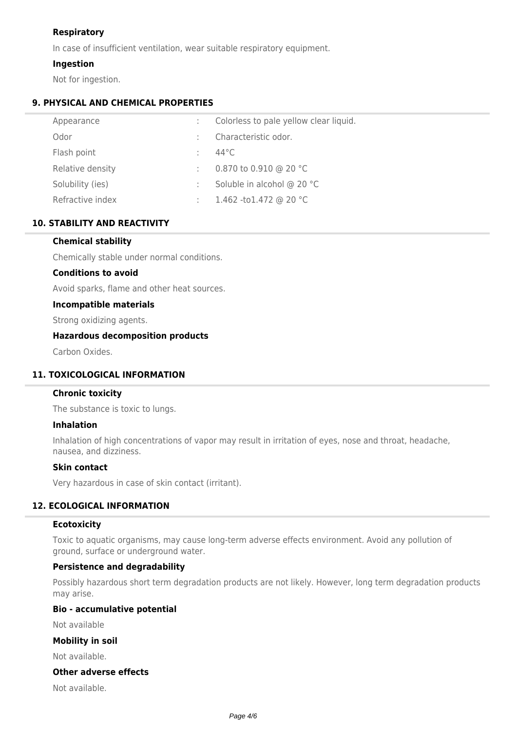## **Respiratory**

In case of insufficient ventilation, wear suitable respiratory equipment.

### **Ingestion**

Not for ingestion.

### **9. PHYSICAL AND CHEMICAL PROPERTIES**

| Appearance       | Colorless to pale yellow clear liquid. |
|------------------|----------------------------------------|
| Odor             | Characteristic odor.                   |
| Flash point      | $44^{\circ}$ C                         |
| Relative density | 0.870 to 0.910 @ 20 °C                 |
| Solubility (ies) | Soluble in alcohol @ 20 °C             |
| Refractive index | 1.462 -to1.472 @ 20 °C                 |

# **10. STABILITY AND REACTIVITY**

## **Chemical stability**

Chemically stable under normal conditions.

### **Conditions to avoid**

Avoid sparks, flame and other heat sources.

#### **Incompatible materials**

Strong oxidizing agents.

### **Hazardous decomposition products**

Carbon Oxides.

## **11. TOXICOLOGICAL INFORMATION**

### **Chronic toxicity**

The substance is toxic to lungs.

### **Inhalation**

Inhalation of high concentrations of vapor may result in irritation of eyes, nose and throat, headache, nausea, and dizziness.

#### **Skin contact**

Very hazardous in case of skin contact (irritant).

## **12. ECOLOGICAL INFORMATION**

#### **Ecotoxicity**

Toxic to aquatic organisms, may cause long-term adverse effects environment. Avoid any pollution of ground, surface or underground water.

### **Persistence and degradability**

Possibly hazardous short term degradation products are not likely. However, long term degradation products may arise.

#### **Bio - accumulative potential**

Not available

#### **Mobility in soil**

Not available.

#### **Other adverse effects**

Not available.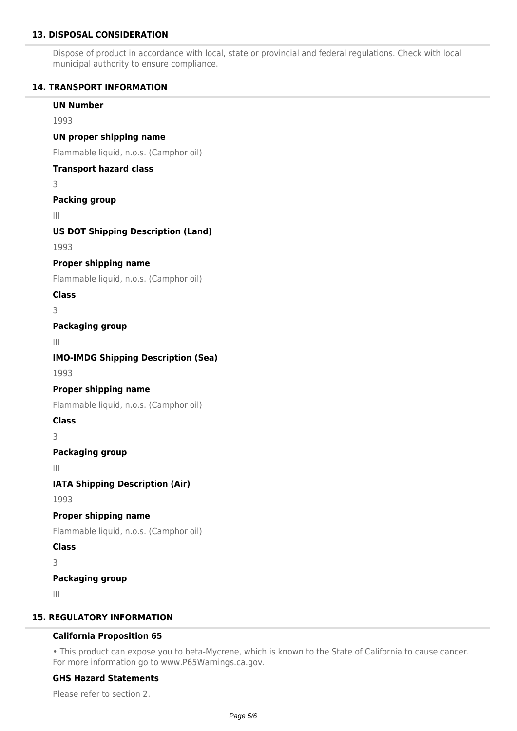### **13. DISPOSAL CONSIDERATION**

Dispose of product in accordance with local, state or provincial and federal regulations. Check with local municipal authority to ensure compliance.

### **14. TRANSPORT INFORMATION**

| <b>UN Number</b>                           |  |
|--------------------------------------------|--|
| 1993                                       |  |
| <b>UN proper shipping name</b>             |  |
| Flammable liquid, n.o.s. (Camphor oil)     |  |
| <b>Transport hazard class</b>              |  |
| 3                                          |  |
| <b>Packing group</b>                       |  |
| $\mathbb{H}$                               |  |
| <b>US DOT Shipping Description (Land)</b>  |  |
| 1993                                       |  |
| <b>Proper shipping name</b>                |  |
| Flammable liquid, n.o.s. (Camphor oil)     |  |
| <b>Class</b>                               |  |
| 3                                          |  |
| <b>Packaging group</b>                     |  |
| $\mathbb{H}$                               |  |
| <b>IMO-IMDG Shipping Description (Sea)</b> |  |
| 1993                                       |  |
| <b>Proper shipping name</b>                |  |
| Flammable liquid, n.o.s. (Camphor oil)     |  |
| <b>Class</b>                               |  |
| 3                                          |  |
| <b>Packaging group</b>                     |  |
| $\mathbb{H}$                               |  |
| <b>IATA Shipping Description (Air)</b>     |  |
| 1993                                       |  |
| <b>Proper shipping name</b>                |  |
| Flammable liquid, n.o.s. (Camphor oil)     |  |
| <b>Class</b>                               |  |
| 3                                          |  |
| <b>Packaging group</b>                     |  |
| $\begin{array}{c} \hline \end{array}$      |  |

### **California Proposition 65**

• This product can expose you to beta-Mycrene, which is known to the State of California to cause cancer. For more information go to www.P65Warnings.ca.gov.

#### **GHS Hazard Statements**

Please refer to section 2.